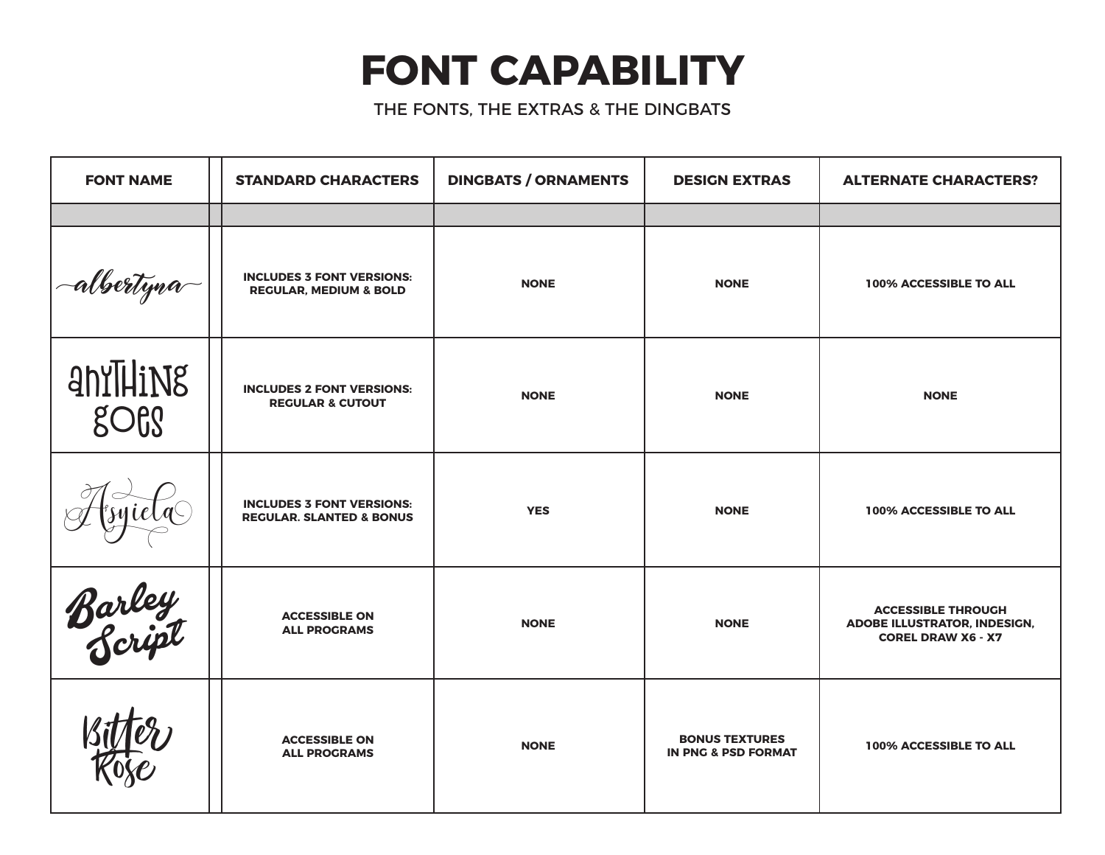## **FONT CAPABILITY**

THE FONTS, THE EXTRAS & THE DINGBATS

| <b>FONT NAME</b> | <b>STANDARD CHARACTERS</b>                                              | <b>DINGBATS / ORNAMENTS</b> | <b>DESIGN EXTRAS</b>                                    | <b>ALTERNATE CHARACTERS?</b>                                                           |
|------------------|-------------------------------------------------------------------------|-----------------------------|---------------------------------------------------------|----------------------------------------------------------------------------------------|
|                  |                                                                         |                             |                                                         |                                                                                        |
| -albertyna       | <b>INCLUDES 3 FONT VERSIONS:</b><br><b>REGULAR, MEDIUM &amp; BOLD</b>   | <b>NONE</b>                 | <b>NONE</b>                                             | 100% ACCESSIBLE TO ALL                                                                 |
| anYTHiNg<br>goes | <b>INCLUDES 2 FONT VERSIONS:</b><br><b>REGULAR &amp; CUTOUT</b>         | <b>NONE</b>                 | <b>NONE</b>                                             | <b>NONE</b>                                                                            |
|                  | <b>INCLUDES 3 FONT VERSIONS:</b><br><b>REGULAR. SLANTED &amp; BONUS</b> | <b>YES</b>                  | <b>NONE</b>                                             | 100% ACCESSIBLE TO ALL                                                                 |
| Barley<br>Script | <b>ACCESSIBLE ON</b><br><b>ALL PROGRAMS</b>                             | <b>NONE</b>                 | <b>NONE</b>                                             | <b>ACCESSIBLE THROUGH</b><br>ADOBE ILLUSTRATOR, INDESIGN,<br><b>COREL DRAW X6 - X7</b> |
|                  | <b>ACCESSIBLE ON</b><br><b>ALL PROGRAMS</b>                             | <b>NONE</b>                 | <b>BONUS TEXTURES</b><br><b>IN PNG &amp; PSD FORMAT</b> | 100% ACCESSIBLE TO ALL                                                                 |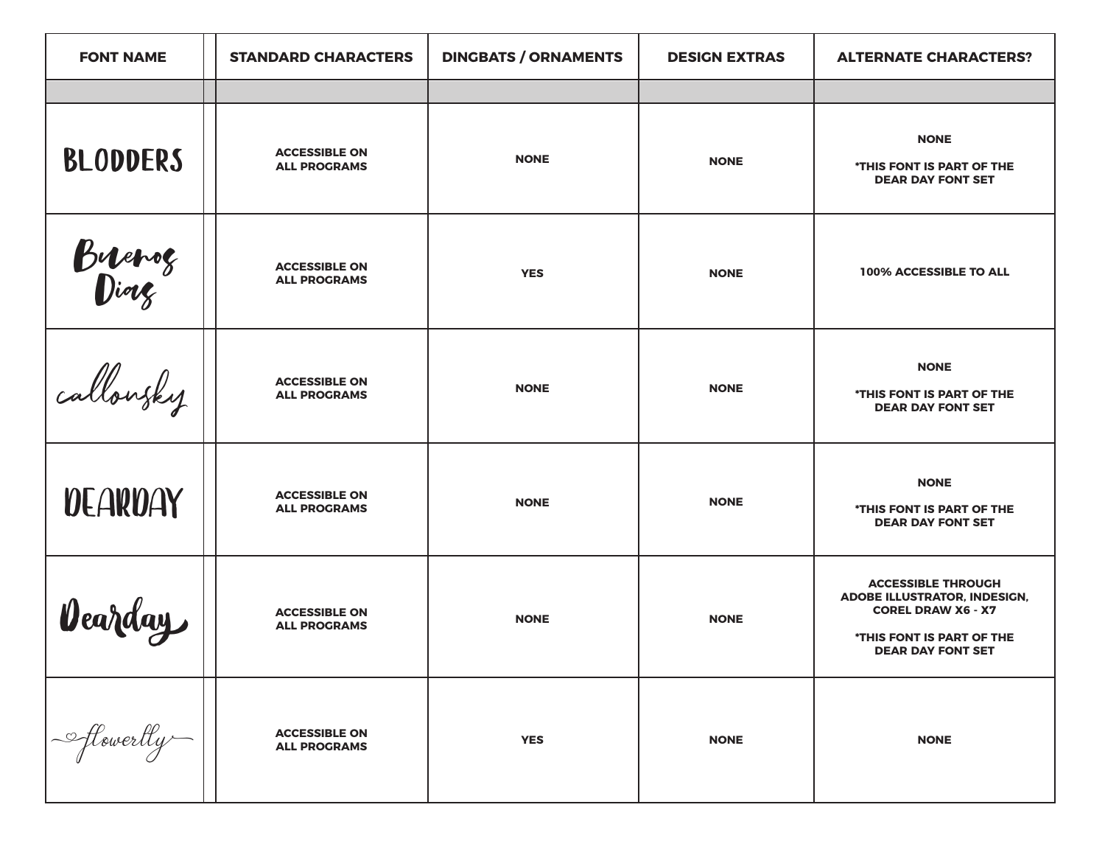| <b>FONT NAME</b> | <b>STANDARD CHARACTERS</b>                  | <b>DINGBATS / ORNAMENTS</b> | <b>DESIGN EXTRAS</b> | <b>ALTERNATE CHARACTERS?</b>                                                                                                                    |
|------------------|---------------------------------------------|-----------------------------|----------------------|-------------------------------------------------------------------------------------------------------------------------------------------------|
|                  |                                             |                             |                      |                                                                                                                                                 |
| <b>BLODDERS</b>  | <b>ACCESSIBLE ON</b><br><b>ALL PROGRAMS</b> | <b>NONE</b>                 | <b>NONE</b>          | <b>NONE</b><br>*THIS FONT IS PART OF THE<br><b>DEAR DAY FONT SET</b>                                                                            |
| Buerog<br>Diorg  | <b>ACCESSIBLE ON</b><br><b>ALL PROGRAMS</b> | <b>YES</b>                  | <b>NONE</b>          | 100% ACCESSIBLE TO ALL                                                                                                                          |
| callowsky        | <b>ACCESSIBLE ON</b><br><b>ALL PROGRAMS</b> | <b>NONE</b>                 | <b>NONE</b>          | <b>NONE</b><br>*THIS FONT IS PART OF THE<br><b>DEAR DAY FONT SET</b>                                                                            |
| <b>DEARDAY</b>   | <b>ACCESSIBLE ON</b><br><b>ALL PROGRAMS</b> | <b>NONE</b>                 | <b>NONE</b>          | <b>NONE</b><br>*THIS FONT IS PART OF THE<br><b>DEAR DAY FONT SET</b>                                                                            |
| Vearday          | <b>ACCESSIBLE ON</b><br><b>ALL PROGRAMS</b> | <b>NONE</b>                 | <b>NONE</b>          | <b>ACCESSIBLE THROUGH</b><br>ADOBE ILLUSTRATOR, INDESIGN,<br><b>COREL DRAW X6 - X7</b><br>*THIS FONT IS PART OF THE<br><b>DEAR DAY FONT SET</b> |
| - flowertly      | <b>ACCESSIBLE ON</b><br><b>ALL PROGRAMS</b> | <b>YES</b>                  | <b>NONE</b>          | <b>NONE</b>                                                                                                                                     |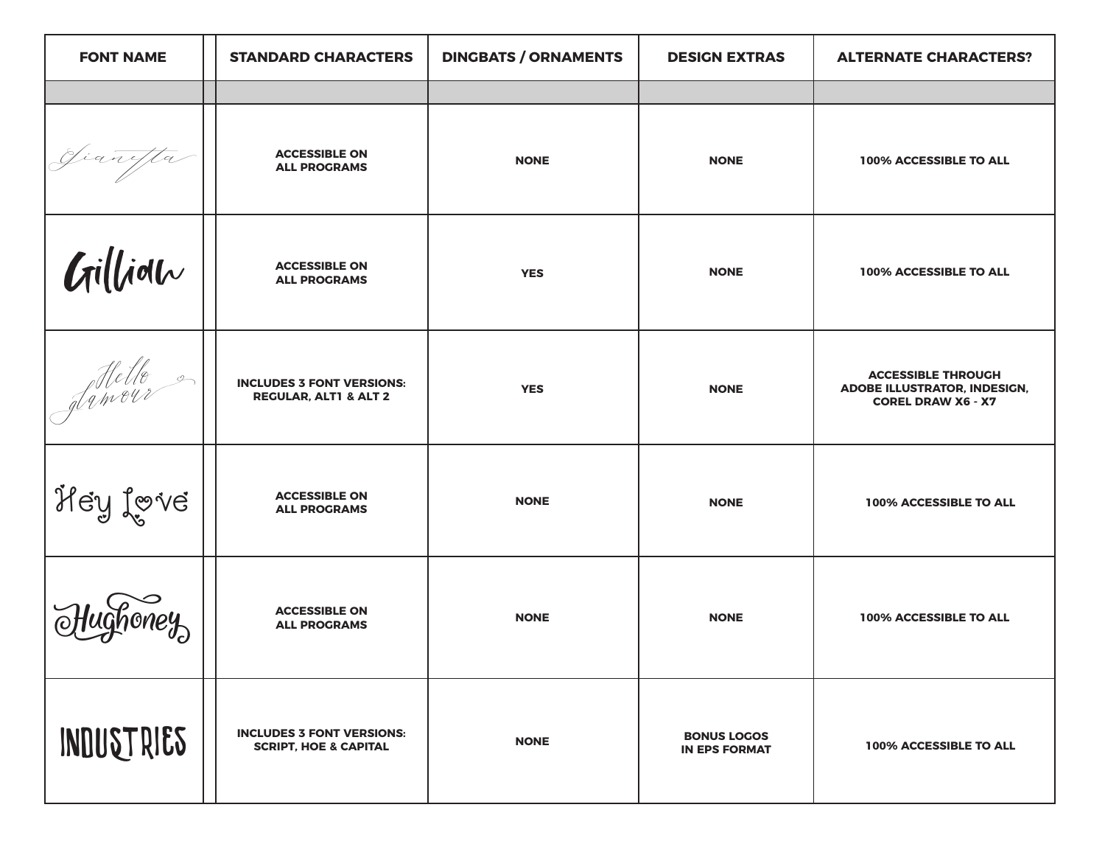| <b>FONT NAME</b> | <b>STANDARD CHARACTERS</b>                                           | <b>DINGBATS / ORNAMENTS</b> | <b>DESIGN EXTRAS</b>                       | <b>ALTERNATE CHARACTERS?</b>                                                                  |
|------------------|----------------------------------------------------------------------|-----------------------------|--------------------------------------------|-----------------------------------------------------------------------------------------------|
|                  |                                                                      |                             |                                            |                                                                                               |
| Jianefta         | <b>ACCESSIBLE ON</b><br><b>ALL PROGRAMS</b>                          | <b>NONE</b>                 | <b>NONE</b>                                | 100% ACCESSIBLE TO ALL                                                                        |
| Gilliolu         | <b>ACCESSIBLE ON</b><br><b>ALL PROGRAMS</b>                          | <b>YES</b>                  | <b>NONE</b>                                | 100% ACCESSIBLE TO ALL                                                                        |
| felle ?          | <b>INCLUDES 3 FONT VERSIONS:</b><br><b>REGULAR, ALT1 &amp; ALT 2</b> | <b>YES</b>                  | <b>NONE</b>                                | <b>ACCESSIBLE THROUGH</b><br><b>ADOBE ILLUSTRATOR, INDESIGN,</b><br><b>COREL DRAW X6 - X7</b> |
| Hey Love         | <b>ACCESSIBLE ON</b><br><b>ALL PROGRAMS</b>                          | <b>NONE</b>                 | <b>NONE</b>                                | 100% ACCESSIBLE TO ALL                                                                        |
|                  | <b>ACCESSIBLE ON</b><br><b>ALL PROGRAMS</b>                          | <b>NONE</b>                 | <b>NONE</b>                                | 100% ACCESSIBLE TO ALL                                                                        |
| INDUSTRIES       | <b>INCLUDES 3 FONT VERSIONS:</b><br><b>SCRIPT, HOE &amp; CAPITAL</b> | <b>NONE</b>                 | <b>BONUS LOGOS</b><br><b>IN EPS FORMAT</b> | 100% ACCESSIBLE TO ALL                                                                        |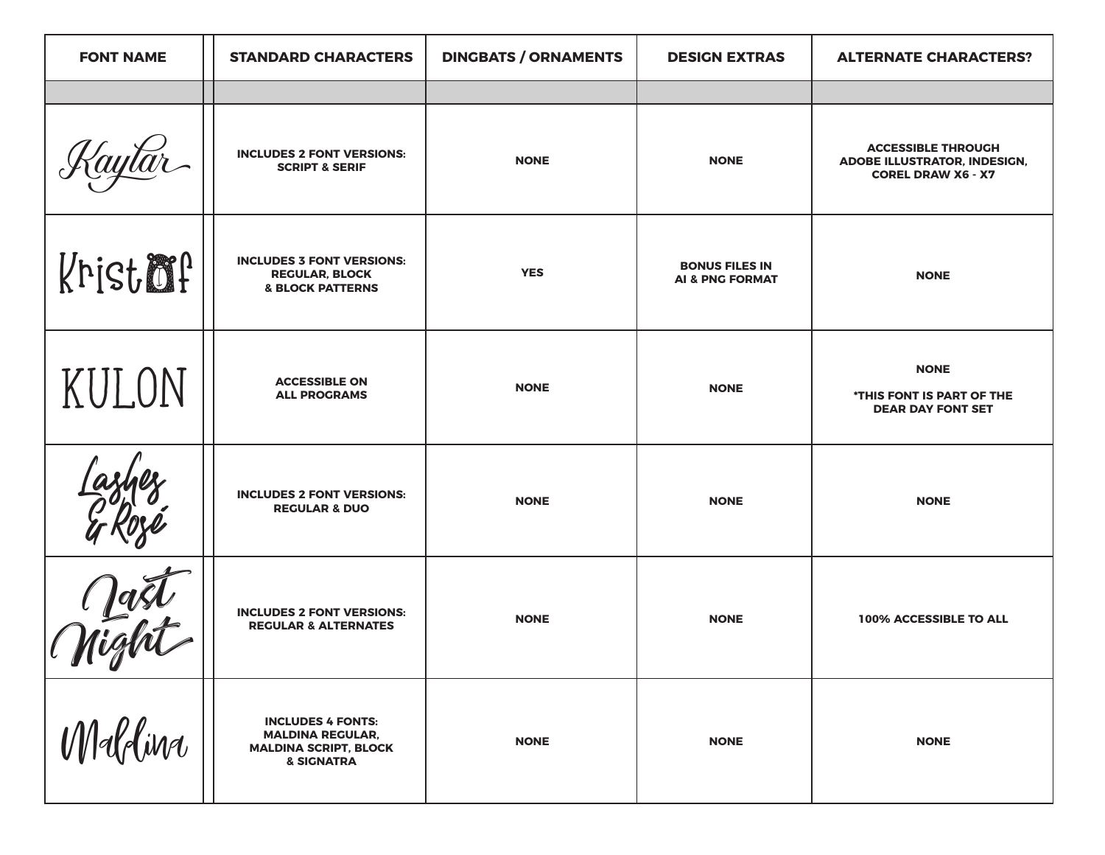| <b>FONT NAME</b> | <b>STANDARD CHARACTERS</b>                                                                        | <b>DINGBATS / ORNAMENTS</b> | <b>DESIGN EXTRAS</b>                                | <b>ALTERNATE CHARACTERS?</b>                                                                  |
|------------------|---------------------------------------------------------------------------------------------------|-----------------------------|-----------------------------------------------------|-----------------------------------------------------------------------------------------------|
|                  |                                                                                                   |                             |                                                     |                                                                                               |
|                  | <b>INCLUDES 2 FONT VERSIONS:</b><br><b>SCRIPT &amp; SERIF</b>                                     | <b>NONE</b>                 | <b>NONE</b>                                         | <b>ACCESSIBLE THROUGH</b><br><b>ADOBE ILLUSTRATOR, INDESIGN,</b><br><b>COREL DRAW X6 - X7</b> |
| Kristmp          | <b>INCLUDES 3 FONT VERSIONS:</b><br><b>REGULAR, BLOCK</b><br><b>&amp; BLOCK PATTERNS</b>          | <b>YES</b>                  | <b>BONUS FILES IN</b><br><b>AI &amp; PNG FORMAT</b> | <b>NONE</b>                                                                                   |
| KULON            | <b>ACCESSIBLE ON</b><br><b>ALL PROGRAMS</b>                                                       | <b>NONE</b>                 | <b>NONE</b>                                         | <b>NONE</b><br>*THIS FONT IS PART OF THE<br><b>DEAR DAY FONT SET</b>                          |
|                  | <b>INCLUDES 2 FONT VERSIONS:</b><br><b>REGULAR &amp; DUO</b>                                      | <b>NONE</b>                 | <b>NONE</b>                                         | <b>NONE</b>                                                                                   |
| $\blacksquare$   | <b>INCLUDES 2 FONT VERSIONS:</b><br><b>REGULAR &amp; ALTERNATES</b>                               | <b>NONE</b>                 | <b>NONE</b>                                         | 100% ACCESSIBLE TO ALL                                                                        |
| Maldina          | <b>INCLUDES 4 FONTS:</b><br><b>MALDINA REGULAR,</b><br><b>MALDINA SCRIPT, BLOCK</b><br>& SIGNATRA | <b>NONE</b>                 | <b>NONE</b>                                         | <b>NONE</b>                                                                                   |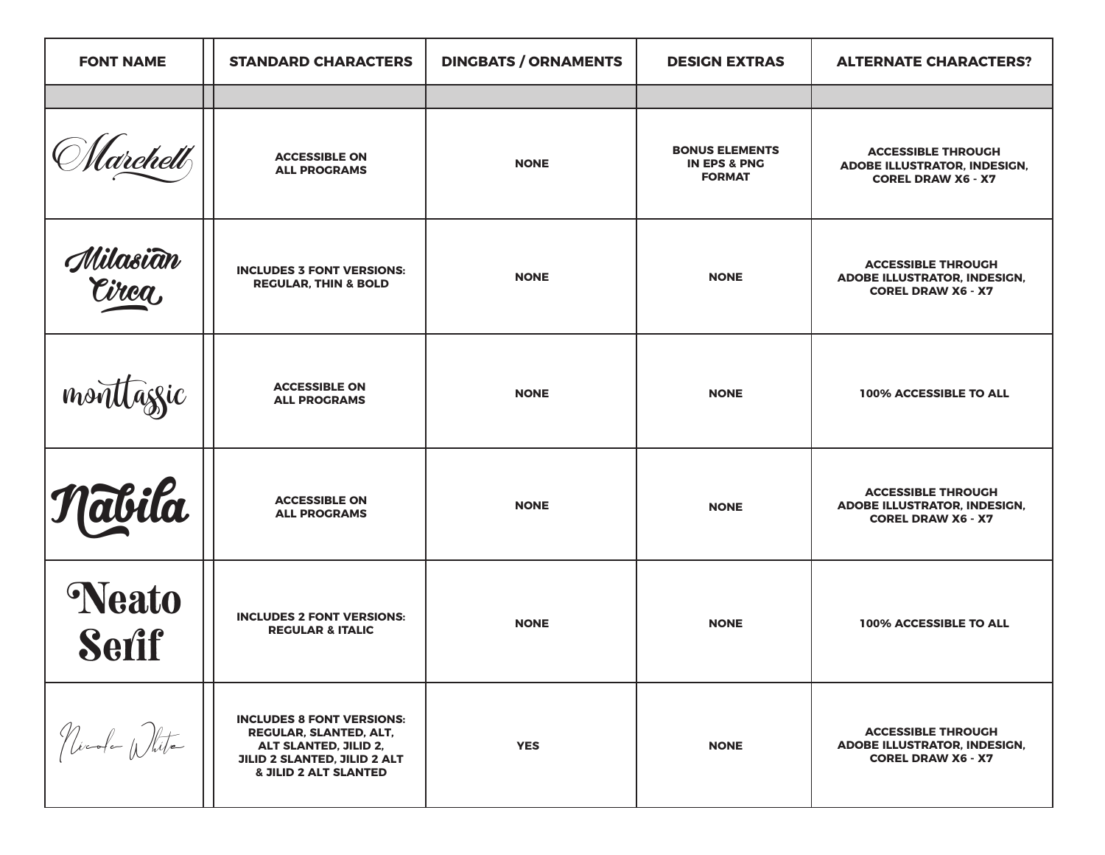| <b>FONT NAME</b>               | <b>STANDARD CHARACTERS</b>                                                                                                                              | <b>DINGBATS / ORNAMENTS</b> | <b>DESIGN EXTRAS</b>                                              | <b>ALTERNATE CHARACTERS?</b>                                                                  |
|--------------------------------|---------------------------------------------------------------------------------------------------------------------------------------------------------|-----------------------------|-------------------------------------------------------------------|-----------------------------------------------------------------------------------------------|
|                                |                                                                                                                                                         |                             |                                                                   |                                                                                               |
| (archett                       | <b>ACCESSIBLE ON</b><br><b>ALL PROGRAMS</b>                                                                                                             | <b>NONE</b>                 | <b>BONUS ELEMENTS</b><br><b>IN EPS &amp; PNG</b><br><b>FORMAT</b> | <b>ACCESSIBLE THROUGH</b><br><b>ADOBE ILLUSTRATOR, INDESIGN,</b><br><b>COREL DRAW X6 - X7</b> |
| Milasi <del>a</del> n<br>Circa | <b>INCLUDES 3 FONT VERSIONS:</b><br><b>REGULAR, THIN &amp; BOLD</b>                                                                                     | <b>NONE</b>                 | <b>NONE</b>                                                       | <b>ACCESSIBLE THROUGH</b><br><b>ADOBE ILLUSTRATOR, INDESIGN,</b><br><b>COREL DRAW X6 - X7</b> |
| monttaggic                     | <b>ACCESSIBLE ON</b><br><b>ALL PROGRAMS</b>                                                                                                             | <b>NONE</b>                 | <b>NONE</b>                                                       | 100% ACCESSIBLE TO ALL                                                                        |
| Nabila                         | <b>ACCESSIBLE ON</b><br><b>ALL PROGRAMS</b>                                                                                                             | <b>NONE</b>                 | <b>NONE</b>                                                       | <b>ACCESSIBLE THROUGH</b><br><b>ADOBE ILLUSTRATOR, INDESIGN,</b><br><b>COREL DRAW X6 - X7</b> |
| Neato<br><b>Serif</b>          | <b>INCLUDES 2 FONT VERSIONS:</b><br><b>REGULAR &amp; ITALIC</b>                                                                                         | <b>NONE</b>                 | <b>NONE</b>                                                       | 100% ACCESSIBLE TO ALL                                                                        |
| Nicola White                   | <b>INCLUDES 8 FONT VERSIONS:</b><br>REGULAR, SLANTED, ALT,<br>ALT SLANTED, JILID 2,<br>JILID 2 SLANTED, JILID 2 ALT<br><b>&amp; JILID 2 ALT SLANTED</b> | <b>YES</b>                  | <b>NONE</b>                                                       | <b>ACCESSIBLE THROUGH</b><br><b>ADOBE ILLUSTRATOR, INDESIGN,</b><br><b>COREL DRAW X6 - X7</b> |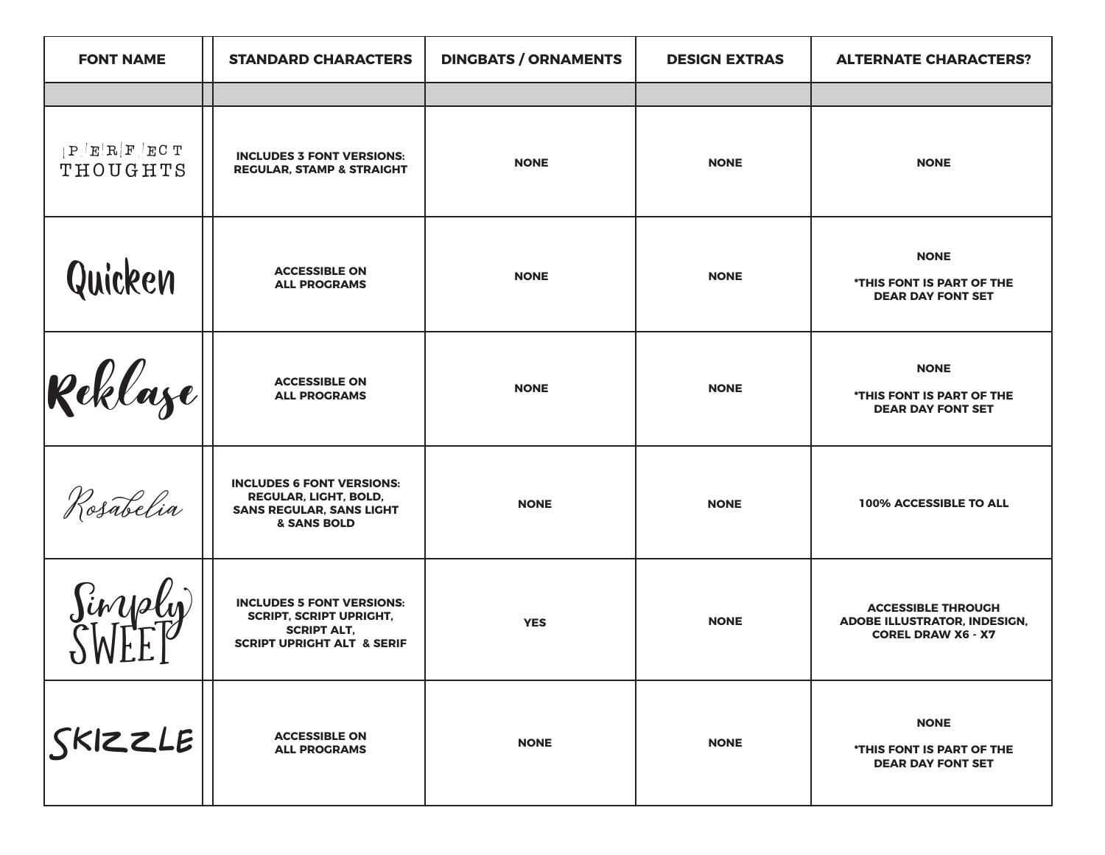| <b>FONT NAME</b>        | <b>STANDARD CHARACTERS</b>                                                                                                        | <b>DINGBATS / ORNAMENTS</b> | <b>DESIGN EXTRAS</b> | <b>ALTERNATE CHARACTERS?</b>                                                                  |
|-------------------------|-----------------------------------------------------------------------------------------------------------------------------------|-----------------------------|----------------------|-----------------------------------------------------------------------------------------------|
|                         |                                                                                                                                   |                             |                      |                                                                                               |
| P E R F ECT<br>THOUGHTS | <b>INCLUDES 3 FONT VERSIONS:</b><br><b>REGULAR, STAMP &amp; STRAIGHT</b>                                                          | <b>NONE</b>                 | <b>NONE</b>          | <b>NONE</b>                                                                                   |
| Quicken                 | <b>ACCESSIBLE ON</b><br><b>ALL PROGRAMS</b>                                                                                       | <b>NONE</b>                 | <b>NONE</b>          | <b>NONE</b><br>*THIS FONT IS PART OF THE<br><b>DEAR DAY FONT SET</b>                          |
| $\mathcal{R}$ eklaze    | <b>ACCESSIBLE ON</b><br><b>ALL PROGRAMS</b>                                                                                       | <b>NONE</b>                 | <b>NONE</b>          | <b>NONE</b><br>*THIS FONT IS PART OF THE<br><b>DEAR DAY FONT SET</b>                          |
| Rosabelia               | <b>INCLUDES 6 FONT VERSIONS:</b><br><b>REGULAR, LIGHT, BOLD,</b><br><b>SANS REGULAR, SANS LIGHT</b><br>& SANS BOLD                | <b>NONE</b>                 | <b>NONE</b>          | 100% ACCESSIBLE TO ALL                                                                        |
| Sinysly                 | <b>INCLUDES 5 FONT VERSIONS:</b><br><b>SCRIPT, SCRIPT UPRIGHT,</b><br><b>SCRIPT ALT.</b><br><b>SCRIPT UPRIGHT ALT &amp; SERIF</b> | <b>YES</b>                  | <b>NONE</b>          | <b>ACCESSIBLE THROUGH</b><br><b>ADOBE ILLUSTRATOR, INDESIGN,</b><br><b>COREL DRAW X6 - X7</b> |
| SKIZE                   | <b>ACCESSIBLE ON</b><br><b>ALL PROGRAMS</b>                                                                                       | <b>NONE</b>                 | <b>NONE</b>          | <b>NONE</b><br>*THIS FONT IS PART OF THE<br><b>DEAR DAY FONT SET</b>                          |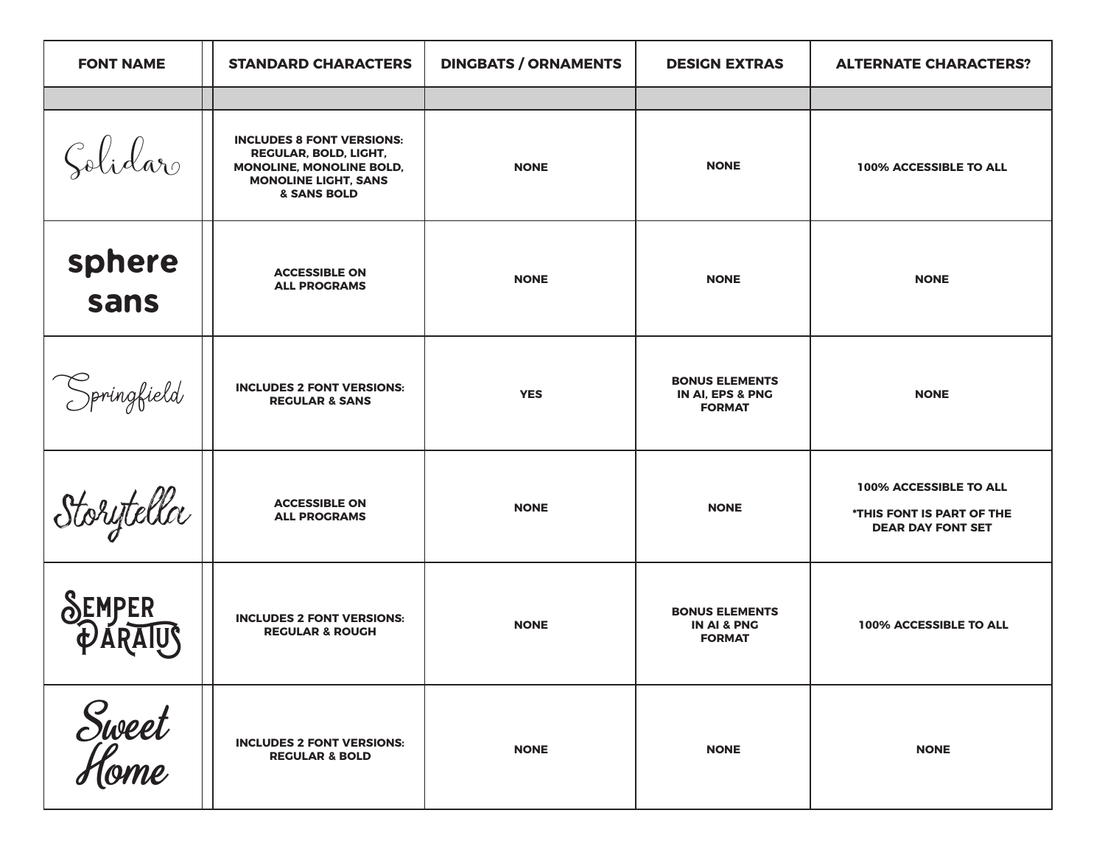| <b>FONT NAME</b> | <b>STANDARD CHARACTERS</b>                                                                                                                            | <b>DINGBATS / ORNAMENTS</b> | <b>DESIGN EXTRAS</b>                                             | <b>ALTERNATE CHARACTERS?</b>                                                    |
|------------------|-------------------------------------------------------------------------------------------------------------------------------------------------------|-----------------------------|------------------------------------------------------------------|---------------------------------------------------------------------------------|
|                  |                                                                                                                                                       |                             |                                                                  |                                                                                 |
| Solidar          | <b>INCLUDES 8 FONT VERSIONS:</b><br><b>REGULAR, BOLD, LIGHT,</b><br>MONOLINE, MONOLINE BOLD,<br><b>MONOLINE LIGHT, SANS</b><br><b>&amp; SANS BOLD</b> | <b>NONE</b>                 | <b>NONE</b>                                                      | 100% ACCESSIBLE TO ALL                                                          |
| sphere<br>sans   | <b>ACCESSIBLE ON</b><br><b>ALL PROGRAMS</b>                                                                                                           | <b>NONE</b>                 | <b>NONE</b>                                                      | <b>NONE</b>                                                                     |
| Springfield      | <b>INCLUDES 2 FONT VERSIONS:</b><br><b>REGULAR &amp; SANS</b>                                                                                         | <b>YES</b>                  | <b>BONUS ELEMENTS</b><br>IN AI, EPS & PNG<br><b>FORMAT</b>       | <b>NONE</b>                                                                     |
| Storytella       | <b>ACCESSIBLE ON</b><br><b>ALL PROGRAMS</b>                                                                                                           | <b>NONE</b>                 | <b>NONE</b>                                                      | 100% ACCESSIBLE TO ALL<br>*THIS FONT IS PART OF THE<br><b>DEAR DAY FONT SET</b> |
|                  | <b>INCLUDES 2 FONT VERSIONS:</b><br><b>REGULAR &amp; ROUGH</b>                                                                                        | <b>NONE</b>                 | <b>BONUS ELEMENTS</b><br><b>IN AI &amp; PNG</b><br><b>FORMAT</b> | 100% ACCESSIBLE TO ALL                                                          |
| Sweet<br>Home    | <b>INCLUDES 2 FONT VERSIONS:</b><br><b>REGULAR &amp; BOLD</b>                                                                                         | <b>NONE</b>                 | <b>NONE</b>                                                      | <b>NONE</b>                                                                     |